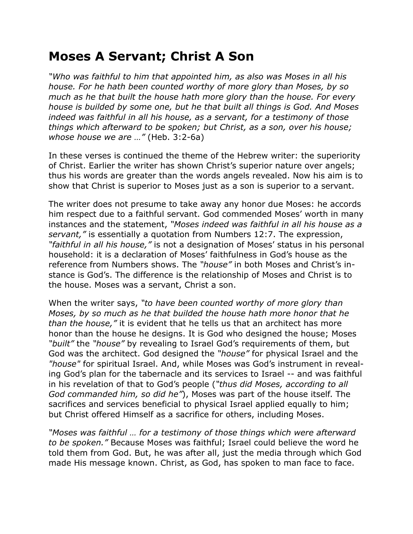## **Moses A Servant; Christ A Son**

*"Who was faithful to him that appointed him, as also was Moses in all his house. For he hath been counted worthy of more glory than Moses, by so much as he that built the house hath more glory than the house. For every house is builded by some one, but he that built all things is God. And Moses indeed was faithful in all his house, as a servant, for a testimony of those things which afterward to be spoken; but Christ, as a son, over his house; whose house we are …"* (Heb. 3:2-6a)

In these verses is continued the theme of the Hebrew writer: the superiority of Christ. Earlier the writer has shown Christ's superior nature over angels; thus his words are greater than the words angels revealed. Now his aim is to show that Christ is superior to Moses just as a son is superior to a servant.

The writer does not presume to take away any honor due Moses: he accords him respect due to a faithful servant. God commended Moses' worth in many instances and the statement, *"Moses indeed was faithful in all his house as a servant,"* is essentially a quotation from Numbers 12:7. The expression, *"faithful in all his house,"* is not a designation of Moses' status in his personal household: it is a declaration of Moses' faithfulness in God's house as the reference from Numbers shows. The *"house"* in both Moses and Christ's instance is God's. The difference is the relationship of Moses and Christ is to the house. Moses was a servant, Christ a son.

When the writer says, *"to have been counted worthy of more glory than Moses, by so much as he that builded the house hath more honor that he than the house,"* it is evident that he tells us that an architect has more honor than the house he designs. It is God who designed the house; Moses *"built"* the *"house"* by revealing to Israel God's requirements of them, but God was the architect. God designed the *"house"* for physical Israel and the *"house"* for spiritual Israel. And, while Moses was God's instrument in revealing God's plan for the tabernacle and its services to Israel -- and was faithful in his revelation of that to God's people (*"thus did Moses, according to all God commanded him, so did he"*), Moses was part of the house itself. The sacrifices and services beneficial to physical Israel applied equally to him; but Christ offered Himself as a sacrifice for others, including Moses.

*"Moses was faithful … for a testimony of those things which were afterward to be spoken."* Because Moses was faithful; Israel could believe the word he told them from God. But, he was after all, just the media through which God made His message known. Christ, as God, has spoken to man face to face.